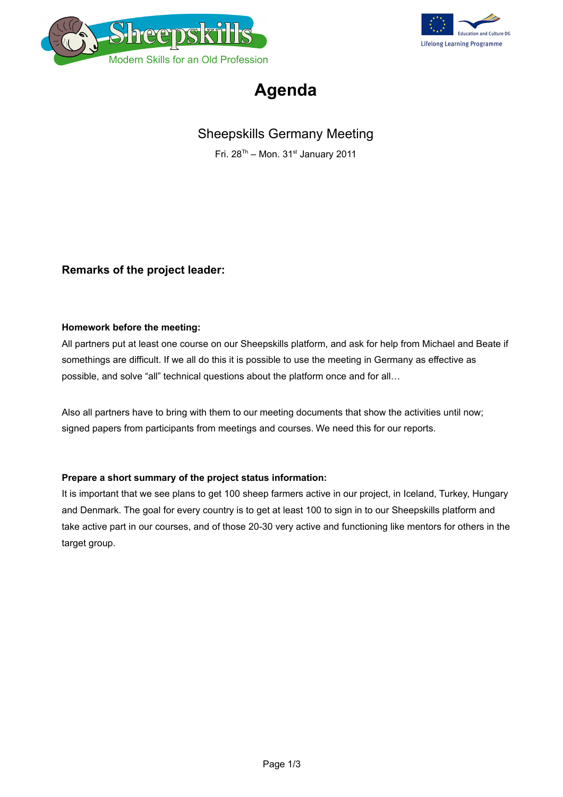



## **Agenda**

### Sheepskills Germany Meeting

Fri.  $28^{Th}$  – Mon.  $31^{st}$  January 2011

### **Remarks of the project leader:**

#### **Homework before the meeting:**

All partners put at least one course on our Sheepskills platform, and ask for help from Michael and Beate if somethings are difficult. If we all do this it is possible to use the meeting in Germany as effective as possible, and solve "all" technical questions about the platform once and for all…

Also all partners have to bring with them to our meeting documents that show the activities until now; signed papers from participants from meetings and courses. We need this for our reports.

#### **Prepare a short summary of the project status information:**

It is important that we see plans to get 100 sheep farmers active in our project, in Iceland, Turkey, Hungary and Denmark. The goal for every country is to get at least 100 to sign in to our Sheepskills platform and take active part in our courses, and of those 20-30 very active and functioning like mentors for others in the target group.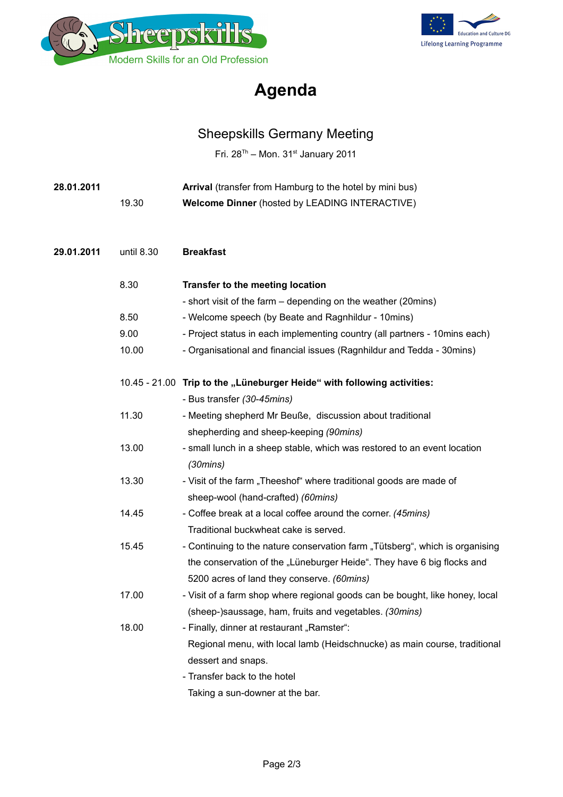



# **Agenda**

## Sheepskills Germany Meeting

Fri.  $28^{Th}$  – Mon.  $31^{st}$  January 2011

| 28.01.2011 |            | Arrival (transfer from Hamburg to the hotel by mini bus)                     |
|------------|------------|------------------------------------------------------------------------------|
|            | 19.30      | Welcome Dinner (hosted by LEADING INTERACTIVE)                               |
|            |            |                                                                              |
| 29.01.2011 | until 8.30 | <b>Breakfast</b>                                                             |
|            | 8.30       | Transfer to the meeting location                                             |
|            |            | - short visit of the farm – depending on the weather (20mins)                |
|            | 8.50       | - Welcome speech (by Beate and Ragnhildur - 10mins)                          |
|            | 9.00       | - Project status in each implementing country (all partners - 10 mins each)  |
|            | 10.00      | - Organisational and financial issues (Ragnhildur and Tedda - 30mins)        |
|            |            | 10.45 - 21.00 Trip to the "Lüneburger Heide" with following activities:      |
|            |            | - Bus transfer (30-45mins)                                                   |
|            | 11.30      | - Meeting shepherd Mr Beuße, discussion about traditional                    |
|            |            | shepherding and sheep-keeping (90mins)                                       |
|            | 13.00      | - small lunch in a sheep stable, which was restored to an event location     |
|            |            | (30 mins)                                                                    |
|            | 13.30      | - Visit of the farm "Theeshof" where traditional goods are made of           |
|            |            | sheep-wool (hand-crafted) (60mins)                                           |
|            | 14.45      | - Coffee break at a local coffee around the corner. (45mins)                 |
|            |            | Traditional buckwheat cake is served.                                        |
|            | 15.45      | - Continuing to the nature conservation farm "Tütsberg", which is organising |
|            |            | the conservation of the "Lüneburger Heide". They have 6 big flocks and       |
|            |            | 5200 acres of land they conserve. (60mins)                                   |
|            | 17.00      | - Visit of a farm shop where regional goods can be bought, like honey, local |
|            |            | (sheep-)saussage, ham, fruits and vegetables. (30mins)                       |
|            | 18.00      | - Finally, dinner at restaurant "Ramster":                                   |
|            |            | Regional menu, with local lamb (Heidschnucke) as main course, traditional    |
|            |            | dessert and snaps.                                                           |
|            |            | - Transfer back to the hotel                                                 |
|            |            | Taking a sun-downer at the bar.                                              |